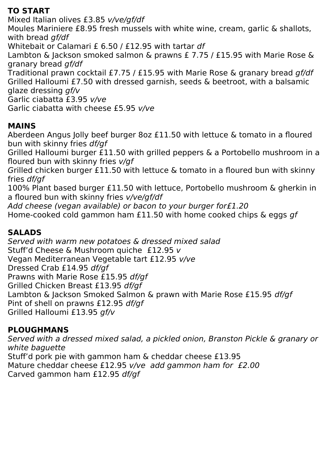# **TO START**

Mixed Italian olives £3.85 v/ve/gf/df Moules Mariniere £8.95 fresh mussels with white wine, cream, garlic & shallots, with bread *gf/df* Whitebait or Calamari £ 6.50 / £12.95 with tartar df Lambton & Jackson smoked salmon & prawns £ 7.75 / £15.95 with Marie Rose & granary bread gf/df Traditional prawn cocktail £7.75 / £15.95 with Marie Rose & granary bread gf/df Grilled Halloumi £7.50 with dressed garnish, seeds & beetroot, with a balsamic glaze dressing gf/v Garlic ciabatta £3.95 v/ve Garlic ciabatta with cheese £5.95 v/ve

## **MAINS**

Aberdeen Angus Jolly beef burger 8oz £11.50 with lettuce & tomato in a floured bun with skinny fries df/gf

Grilled Halloumi burger £11.50 with grilled peppers & a Portobello mushroom in a floured bun with skinny fries v/gf

Grilled chicken burger £11.50 with lettuce & tomato in a floured bun with skinny fries df/gf

100% Plant based burger £11.50 with lettuce, Portobello mushroom & gherkin in a floured bun with skinny fries v/ve/gf/df

Add cheese (vegan available) or bacon to your burger for£1.20

Home-cooked cold gammon ham £11.50 with home cooked chips & eggs gf

# **SALADS**

Served with warm new potatoes & dressed mixed salad Stuff'd Cheese & Mushroom quiche £12.95 v Vegan Mediterranean Vegetable tart £12.95 v/ve Dressed Crab £14.95 df/gf Prawns with Marie Rose £15.95 df/gf Grilled Chicken Breast £13.95 df/gf Lambton & Jackson Smoked Salmon & prawn with Marie Rose £15.95 df/gf Pint of shell on prawns £12.95 df/gf Grilled Halloumi £13.95 gf/v

# **PLOUGHMANS**

Served with a dressed mixed salad, a pickled onion, Branston Pickle & granary or white baguette Stuff'd pork pie with gammon ham & cheddar cheese £13.95 Mature cheddar cheese £12.95 v/ve add gammon ham for £2.00 Carved gammon ham £12.95 df/gf